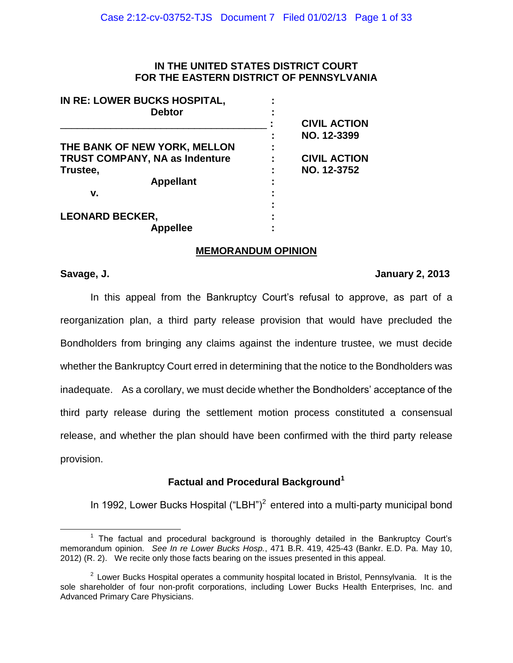## **IN THE UNITED STATES DISTRICT COURT FOR THE EASTERN DISTRICT OF PENNSYLVANIA**

| IN RE: LOWER BUCKS HOSPITAL,<br><b>Debtor</b> |                     |
|-----------------------------------------------|---------------------|
|                                               | <b>CIVIL ACTION</b> |
|                                               | NO. 12-3399         |
| THE BANK OF NEW YORK, MELLON                  |                     |
| TRUST COMPANY, NA as Indenture                | <b>CIVIL ACTION</b> |
| Trustee,                                      | NO. 12-3752         |
| <b>Appellant</b>                              |                     |
| v.                                            |                     |
|                                               |                     |
| <b>LEONARD BECKER,</b>                        |                     |
| <b>Appellee</b>                               |                     |

## **MEMORANDUM OPINION**

 $\overline{a}$ 

## **Savage, J. January 2, 2013**

In this appeal from the Bankruptcy Court's refusal to approve, as part of a reorganization plan, a third party release provision that would have precluded the Bondholders from bringing any claims against the indenture trustee, we must decide whether the Bankruptcy Court erred in determining that the notice to the Bondholders was inadequate. As a corollary, we must decide whether the Bondholders' acceptance of the third party release during the settlement motion process constituted a consensual release, and whether the plan should have been confirmed with the third party release provision.

# **Factual and Procedural Background<sup>1</sup>**

In 1992, Lower Bucks Hospital  $("LBH")^2$  entered into a multi-party municipal bond

<sup>&</sup>lt;sup>1</sup> The factual and procedural background is thoroughly detailed in the Bankruptcy Court's memorandum opinion. *See In re Lower Bucks Hosp.*, 471 B.R. 419, 425-43 (Bankr. E.D. Pa. May 10, 2012) (R. 2). We recite only those facts bearing on the issues presented in this appeal.

 $2$  Lower Bucks Hospital operates a community hospital located in Bristol, Pennsylvania. It is the sole shareholder of four non-profit corporations, including Lower Bucks Health Enterprises, Inc. and Advanced Primary Care Physicians.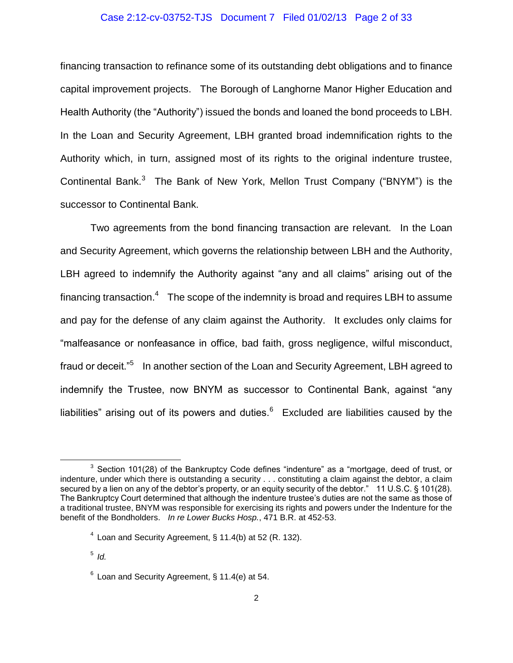# Case 2:12-cv-03752-TJS Document 7 Filed 01/02/13 Page 2 of 33

financing transaction to refinance some of its outstanding debt obligations and to finance capital improvement projects. The Borough of Langhorne Manor Higher Education and Health Authority (the "Authority") issued the bonds and loaned the bond proceeds to LBH. In the Loan and Security Agreement, LBH granted broad indemnification rights to the Authority which, in turn, assigned most of its rights to the original indenture trustee, Continental Bank. $3$  The Bank of New York, Mellon Trust Company ("BNYM") is the successor to Continental Bank.

Two agreements from the bond financing transaction are relevant. In the Loan and Security Agreement, which governs the relationship between LBH and the Authority, LBH agreed to indemnify the Authority against "any and all claims" arising out of the financing transaction. $4$  The scope of the indemnity is broad and requires LBH to assume and pay for the defense of any claim against the Authority. It excludes only claims for "malfeasance or nonfeasance in office, bad faith, gross negligence, wilful misconduct, fraud or deceit."<sup>5</sup> In another section of the Loan and Security Agreement, LBH agreed to indemnify the Trustee, now BNYM as successor to Continental Bank, against "any liabilities" arising out of its powers and duties. $^6$  Excluded are liabilities caused by the

 $3$  Section 101(28) of the Bankruptcy Code defines "indenture" as a "mortgage, deed of trust, or indenture, under which there is outstanding a security . . . constituting a claim against the debtor, a claim secured by a lien on any of the debtor's property, or an equity security of the debtor." 11 U.S.C. § 101(28). The Bankruptcy Court determined that although the indenture trustee's duties are not the same as those of a traditional trustee, BNYM was responsible for exercising its rights and powers under the Indenture for the benefit of the Bondholders. *In re Lower Bucks Hosp.*, 471 B.R. at 452-53.

 $4$  Loan and Security Agreement, § 11.4(b) at 52 (R. 132).

<sup>5</sup> *Id.*

 $6$  Loan and Security Agreement, § 11.4(e) at 54.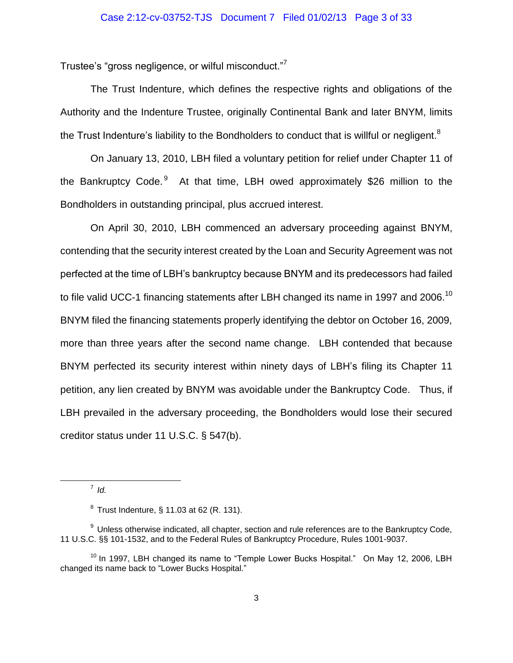Trustee's "gross negligence, or wilful misconduct."<sup>7</sup>

The Trust Indenture, which defines the respective rights and obligations of the Authority and the Indenture Trustee, originally Continental Bank and later BNYM, limits the Trust Indenture's liability to the Bondholders to conduct that is willful or negligent.<sup>8</sup>

On January 13, 2010, LBH filed a voluntary petition for relief under Chapter 11 of the Bankruptcy Code.<sup>9</sup> At that time, LBH owed approximately \$26 million to the Bondholders in outstanding principal, plus accrued interest.

On April 30, 2010, LBH commenced an adversary proceeding against BNYM, contending that the security interest created by the Loan and Security Agreement was not perfected at the time of LBH's bankruptcy because BNYM and its predecessors had failed to file valid UCC-1 financing statements after LBH changed its name in 1997 and 2006.<sup>10</sup> BNYM filed the financing statements properly identifying the debtor on October 16, 2009, more than three years after the second name change. LBH contended that because BNYM perfected its security interest within ninety days of LBH's filing its Chapter 11 petition, any lien created by BNYM was avoidable under the Bankruptcy Code. Thus, if LBH prevailed in the adversary proceeding, the Bondholders would lose their secured creditor status under 11 U.S.C. § 547(b).

7 *Id.*

 $\overline{a}$ 

 $8$  Trust Indenture, § 11.03 at 62 (R. 131).

 $9$  Unless otherwise indicated, all chapter, section and rule references are to the Bankruptcy Code, 11 U.S.C. §§ 101-1532, and to the Federal Rules of Bankruptcy Procedure, Rules 1001-9037.

 $10$  In 1997, LBH changed its name to "Temple Lower Bucks Hospital." On May 12, 2006, LBH changed its name back to "Lower Bucks Hospital."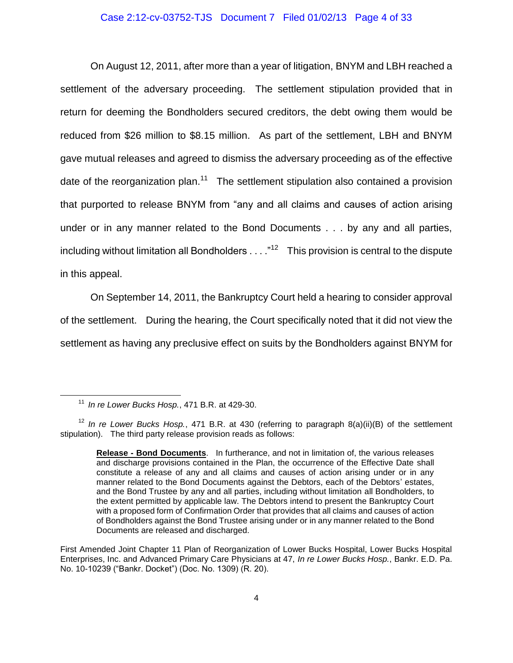#### Case 2:12-cv-03752-TJS Document 7 Filed 01/02/13 Page 4 of 33

On August 12, 2011, after more than a year of litigation, BNYM and LBH reached a settlement of the adversary proceeding. The settlement stipulation provided that in return for deeming the Bondholders secured creditors, the debt owing them would be reduced from \$26 million to \$8.15 million. As part of the settlement, LBH and BNYM gave mutual releases and agreed to dismiss the adversary proceeding as of the effective date of the reorganization plan.<sup>11</sup> The settlement stipulation also contained a provision that purported to release BNYM from "any and all claims and causes of action arising under or in any manner related to the Bond Documents . . . by any and all parties, including without limitation all Bondholders  $\dots$ ."<sup>12</sup> This provision is central to the dispute in this appeal.

On September 14, 2011, the Bankruptcy Court held a hearing to consider approval of the settlement. During the hearing, the Court specifically noted that it did not view the settlement as having any preclusive effect on suits by the Bondholders against BNYM for

<sup>11</sup> *In re Lower Bucks Hosp.*, 471 B.R. at 429-30.

<sup>12</sup> *In re Lower Bucks Hosp.*, 471 B.R. at 430 (referring to paragraph 8(a)(ii)(B) of the settlement stipulation). The third party release provision reads as follows:

**Release - Bond Documents**. In furtherance, and not in limitation of, the various releases and discharge provisions contained in the Plan, the occurrence of the Effective Date shall constitute a release of any and all claims and causes of action arising under or in any manner related to the Bond Documents against the Debtors, each of the Debtors' estates, and the Bond Trustee by any and all parties, including without limitation all Bondholders, to the extent permitted by applicable law. The Debtors intend to present the Bankruptcy Court with a proposed form of Confirmation Order that provides that all claims and causes of action of Bondholders against the Bond Trustee arising under or in any manner related to the Bond Documents are released and discharged.

First Amended Joint Chapter 11 Plan of Reorganization of Lower Bucks Hospital, Lower Bucks Hospital Enterprises, Inc. and Advanced Primary Care Physicians at 47, *In re Lower Bucks Hosp.*, Bankr. E.D. Pa. No. 10-10239 ("Bankr. Docket") (Doc. No. 1309) (R. 20).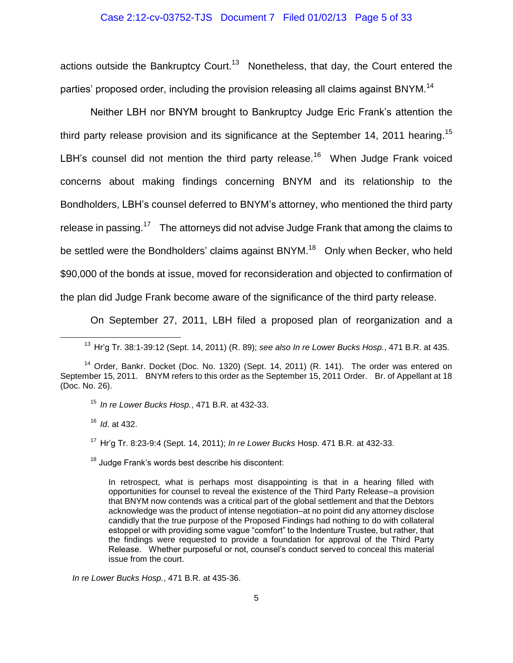# Case 2:12-cv-03752-TJS Document 7 Filed 01/02/13 Page 5 of 33

actions outside the Bankruptcy Court.<sup>13</sup> Nonetheless, that day, the Court entered the parties' proposed order, including the provision releasing all claims against BNYM.<sup>14</sup>

Neither LBH nor BNYM brought to Bankruptcy Judge Eric Frank's attention the third party release provision and its significance at the September 14, 2011 hearing.<sup>15</sup> LBH's counsel did not mention the third party release.<sup>16</sup> When Judge Frank voiced concerns about making findings concerning BNYM and its relationship to the Bondholders, LBH's counsel deferred to BNYM's attorney, who mentioned the third party release in passing.<sup>17</sup> The attorneys did not advise Judge Frank that among the claims to be settled were the Bondholders' claims against BNYM.<sup>18</sup> Only when Becker, who held \$90,000 of the bonds at issue, moved for reconsideration and objected to confirmation of the plan did Judge Frank become aware of the significance of the third party release.

On September 27, 2011, LBH filed a proposed plan of reorganization and a

<sup>15</sup> *In re Lower Bucks Hosp.*, 471 B.R. at 432-33.

<sup>16</sup> *Id*. at 432.

 $\overline{a}$ 

<sup>17</sup> Hr'g Tr. 8:23-9:4 (Sept. 14, 2011); *In re Lower Bucks* Hosp. 471 B.R. at 432-33.

<sup>18</sup> Judge Frank's words best describe his discontent:

In retrospect, what is perhaps most disappointing is that in a hearing filled with opportunities for counsel to reveal the existence of the Third Party Release–a provision that BNYM now contends was a critical part of the global settlement and that the Debtors acknowledge was the product of intense negotiation–at no point did any attorney disclose candidly that the true purpose of the Proposed Findings had nothing to do with collateral estoppel or with providing some vague "comfort" to the Indenture Trustee, but rather, that the findings were requested to provide a foundation for approval of the Third Party Release. Whether purposeful or not, counsel's conduct served to conceal this material issue from the court.

*In re Lower Bucks Hosp.*, 471 B.R. at 435-36.

<sup>13</sup> Hr'g Tr. 38:1-39:12 (Sept. 14, 2011) (R. 89); *see also In re Lower Bucks Hosp.*, 471 B.R. at 435.

 $14$  Order, Bankr. Docket (Doc. No. 1320) (Sept. 14, 2011) (R. 141). The order was entered on September 15, 2011. BNYM refers to this order as the September 15, 2011 Order. Br. of Appellant at 18 (Doc. No. 26).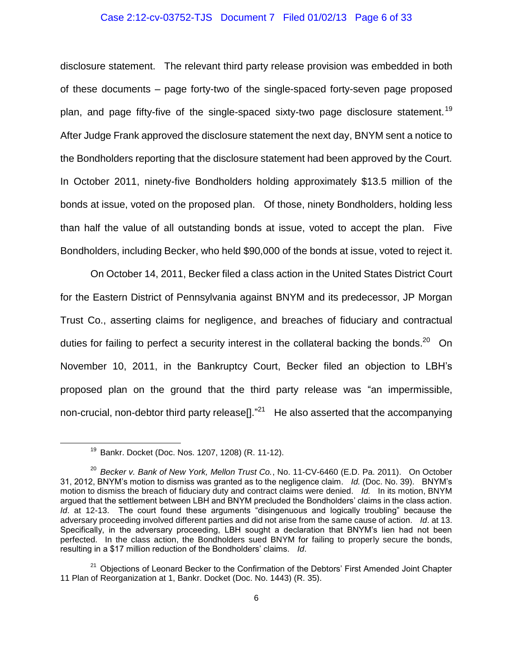#### Case 2:12-cv-03752-TJS Document 7 Filed 01/02/13 Page 6 of 33

disclosure statement. The relevant third party release provision was embedded in both of these documents – page forty-two of the single-spaced forty-seven page proposed plan, and page fifty-five of the single-spaced sixty-two page disclosure statement.<sup>19</sup> After Judge Frank approved the disclosure statement the next day, BNYM sent a notice to the Bondholders reporting that the disclosure statement had been approved by the Court. In October 2011, ninety-five Bondholders holding approximately \$13.5 million of the bonds at issue, voted on the proposed plan. Of those, ninety Bondholders, holding less than half the value of all outstanding bonds at issue, voted to accept the plan. Five Bondholders, including Becker, who held \$90,000 of the bonds at issue, voted to reject it.

On October 14, 2011, Becker filed a class action in the United States District Court for the Eastern District of Pennsylvania against BNYM and its predecessor, JP Morgan Trust Co., asserting claims for negligence, and breaches of fiduciary and contractual duties for failing to perfect a security interest in the collateral backing the bonds.<sup>20</sup> On November 10, 2011, in the Bankruptcy Court, Becker filed an objection to LBH's proposed plan on the ground that the third party release was "an impermissible, non-crucial, non-debtor third party release[]."<sup>21</sup> He also asserted that the accompanying

<sup>19</sup> Bankr. Docket (Doc. Nos. 1207, 1208) (R. 11-12).

<sup>20</sup> *Becker v. Bank of New York, Mellon Trust Co.*, No. 11-CV-6460 (E.D. Pa. 2011). On October 31, 2012, BNYM's motion to dismiss was granted as to the negligence claim. *Id.* (Doc. No. 39). BNYM's motion to dismiss the breach of fiduciary duty and contract claims were denied. *Id.* In its motion, BNYM argued that the settlement between LBH and BNYM precluded the Bondholders' claims in the class action. *Id*. at 12-13. The court found these arguments "disingenuous and logically troubling" because the adversary proceeding involved different parties and did not arise from the same cause of action. *Id*. at 13. Specifically, in the adversary proceeding, LBH sought a declaration that BNYM's lien had not been perfected. In the class action, the Bondholders sued BNYM for failing to properly secure the bonds, resulting in a \$17 million reduction of the Bondholders' claims. *Id*.

<sup>&</sup>lt;sup>21</sup> Objections of Leonard Becker to the Confirmation of the Debtors' First Amended Joint Chapter 11 Plan of Reorganization at 1, Bankr. Docket (Doc. No. 1443) (R. 35).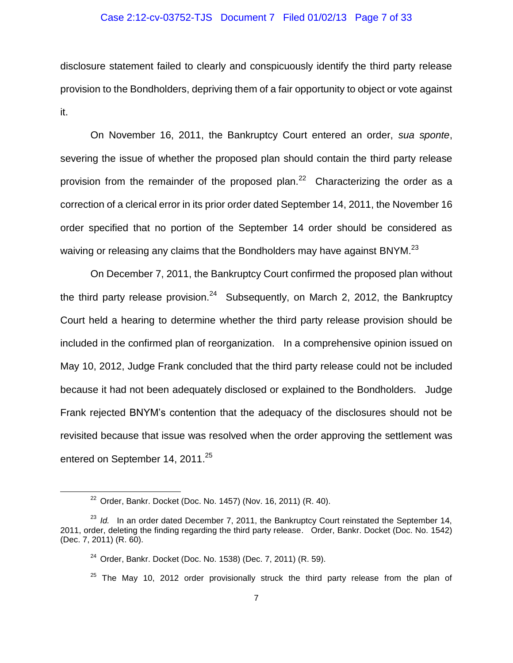#### Case 2:12-cv-03752-TJS Document 7 Filed 01/02/13 Page 7 of 33

disclosure statement failed to clearly and conspicuously identify the third party release provision to the Bondholders, depriving them of a fair opportunity to object or vote against it.

On November 16, 2011, the Bankruptcy Court entered an order, *sua sponte*, severing the issue of whether the proposed plan should contain the third party release provision from the remainder of the proposed plan.<sup>22</sup> Characterizing the order as a correction of a clerical error in its prior order dated September 14, 2011, the November 16 order specified that no portion of the September 14 order should be considered as waiving or releasing any claims that the Bondholders may have against BNYM.<sup>23</sup>

On December 7, 2011, the Bankruptcy Court confirmed the proposed plan without the third party release provision.<sup>24</sup> Subsequently, on March 2, 2012, the Bankruptcy Court held a hearing to determine whether the third party release provision should be included in the confirmed plan of reorganization. In a comprehensive opinion issued on May 10, 2012, Judge Frank concluded that the third party release could not be included because it had not been adequately disclosed or explained to the Bondholders. Judge Frank rejected BNYM's contention that the adequacy of the disclosures should not be revisited because that issue was resolved when the order approving the settlement was entered on September 14, 2011.<sup>25</sup>

 $\overline{a}$ 

 $25$  The May 10, 2012 order provisionally struck the third party release from the plan of

 $22$  Order, Bankr. Docket (Doc. No. 1457) (Nov. 16, 2011) (R. 40).

<sup>&</sup>lt;sup>23</sup> *Id.* In an order dated December 7, 2011, the Bankruptcy Court reinstated the September 14, 2011, order, deleting the finding regarding the third party release. Order, Bankr. Docket (Doc. No. 1542) (Dec. 7, 2011) (R. 60).

 $24$  Order, Bankr. Docket (Doc. No. 1538) (Dec. 7, 2011) (R. 59).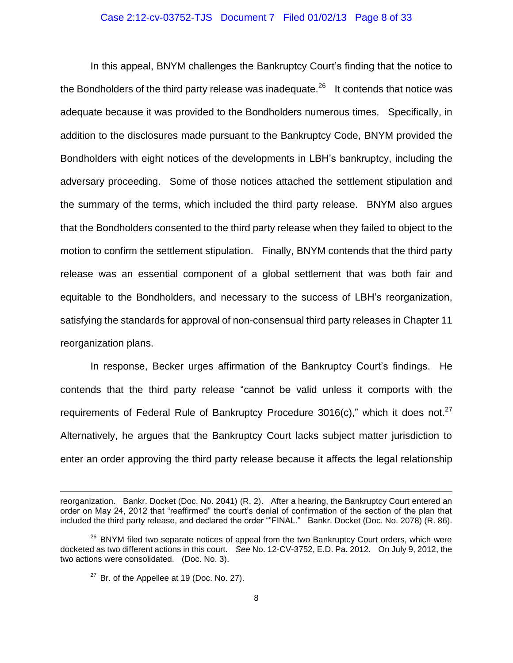#### Case 2:12-cv-03752-TJS Document 7 Filed 01/02/13 Page 8 of 33

In this appeal, BNYM challenges the Bankruptcy Court's finding that the notice to the Bondholders of the third party release was inadequate.<sup>26</sup> It contends that notice was adequate because it was provided to the Bondholders numerous times. Specifically, in addition to the disclosures made pursuant to the Bankruptcy Code, BNYM provided the Bondholders with eight notices of the developments in LBH's bankruptcy, including the adversary proceeding. Some of those notices attached the settlement stipulation and the summary of the terms, which included the third party release. BNYM also argues that the Bondholders consented to the third party release when they failed to object to the motion to confirm the settlement stipulation. Finally, BNYM contends that the third party release was an essential component of a global settlement that was both fair and equitable to the Bondholders, and necessary to the success of LBH's reorganization, satisfying the standards for approval of non-consensual third party releases in Chapter 11 reorganization plans.

In response, Becker urges affirmation of the Bankruptcy Court's findings. He contends that the third party release "cannot be valid unless it comports with the requirements of Federal Rule of Bankruptcy Procedure 3016(c)," which it does not.<sup>27</sup> Alternatively, he argues that the Bankruptcy Court lacks subject matter jurisdiction to enter an order approving the third party release because it affects the legal relationship

reorganization. Bankr. Docket (Doc. No. 2041) (R. 2). After a hearing, the Bankruptcy Court entered an order on May 24, 2012 that "reaffirmed" the court's denial of confirmation of the section of the plan that included the third party release, and declared the order ""FINAL." Bankr. Docket (Doc. No. 2078) (R. 86).

<sup>&</sup>lt;sup>26</sup> BNYM filed two separate notices of appeal from the two Bankruptcy Court orders, which were docketed as two different actions in this court. *See* No. 12-CV-3752, E.D. Pa. 2012. On July 9, 2012, the two actions were consolidated. (Doc. No. 3).

 $27$  Br. of the Appellee at 19 (Doc. No. 27).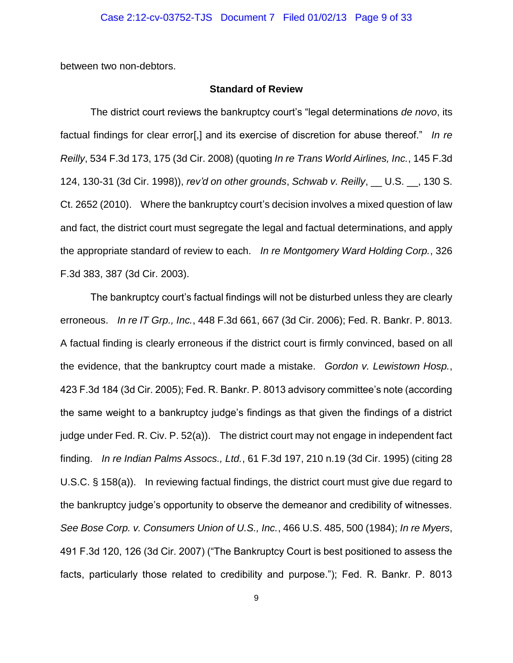between two non-debtors.

## **Standard of Review**

The district court reviews the bankruptcy court's "legal determinations *de novo*, its factual findings for clear error[,] and its exercise of discretion for abuse thereof." *In re Reilly*, 534 F.3d 173, 175 (3d Cir. 2008) (quoting *In re Trans World Airlines, Inc.*, 145 F.3d 124, 130-31 (3d Cir. 1998)), *rev'd on other grounds*, *Schwab v. Reilly*, \_\_ U.S. \_\_, 130 S. Ct. 2652 (2010). Where the bankruptcy court's decision involves a mixed question of law and fact, the district court must segregate the legal and factual determinations, and apply the appropriate standard of review to each. *In re Montgomery Ward Holding Corp.*, 326 F.3d 383, 387 (3d Cir. 2003).

The bankruptcy court's factual findings will not be disturbed unless they are clearly erroneous. *In re IT Grp., Inc.*, 448 F.3d 661, 667 (3d Cir. 2006); Fed. R. Bankr. P. 8013. A factual finding is clearly erroneous if the district court is firmly convinced, based on all the evidence, that the bankruptcy court made a mistake. *Gordon v. Lewistown Hosp.*, 423 F.3d 184 (3d Cir. 2005); Fed. R. Bankr. P. 8013 advisory committee's note (according the same weight to a bankruptcy judge's findings as that given the findings of a district judge under Fed. R. Civ. P. 52(a)). The district court may not engage in independent fact finding. *In re Indian Palms Assocs., Ltd.*, 61 F.3d 197, 210 n.19 (3d Cir. 1995) (citing 28 U.S.C. § 158(a)). In reviewing factual findings, the district court must give due regard to the bankruptcy judge's opportunity to observe the demeanor and credibility of witnesses. *See Bose Corp. v. Consumers Union of U.S., Inc.*, 466 U.S. 485, 500 (1984); *In re Myers*, 491 F.3d 120, 126 (3d Cir. 2007) ("The Bankruptcy Court is best positioned to assess the facts, particularly those related to credibility and purpose."); Fed. R. Bankr. P. 8013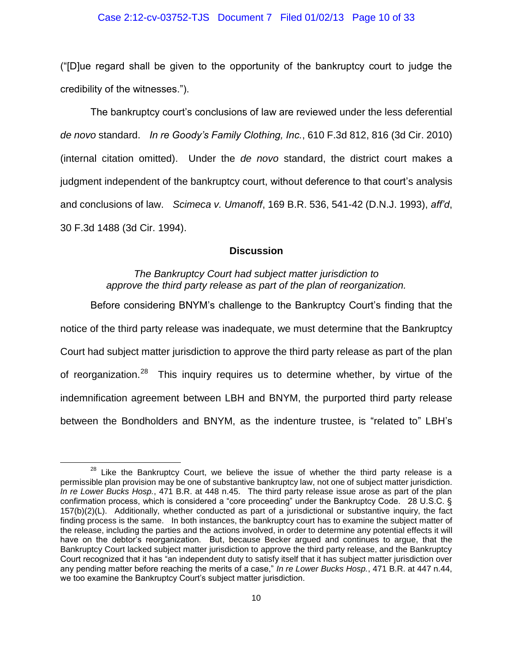#### Case 2:12-cv-03752-TJS Document 7 Filed 01/02/13 Page 10 of 33

("[D]ue regard shall be given to the opportunity of the bankruptcy court to judge the credibility of the witnesses.").

The bankruptcy court's conclusions of law are reviewed under the less deferential *de novo* standard. *In re Goody's Family Clothing, Inc.*, 610 F.3d 812, 816 (3d Cir. 2010) (internal citation omitted). Under the *de novo* standard, the district court makes a judgment independent of the bankruptcy court, without deference to that court's analysis and conclusions of law. *Scimeca v. Umanoff*, 169 B.R. 536, 541-42 (D.N.J. 1993), *aff'd*, 30 F.3d 1488 (3d Cir. 1994).

## **Discussion**

## *The Bankruptcy Court had subject matter jurisdiction to approve the third party release as part of the plan of reorganization.*

Before considering BNYM's challenge to the Bankruptcy Court's finding that the notice of the third party release was inadequate, we must determine that the Bankruptcy Court had subject matter jurisdiction to approve the third party release as part of the plan of reorganization.<sup>28</sup> This inquiry requires us to determine whether, by virtue of the indemnification agreement between LBH and BNYM, the purported third party release between the Bondholders and BNYM, as the indenture trustee, is "related to" LBH's

 $28$  Like the Bankruptcy Court, we believe the issue of whether the third party release is a permissible plan provision may be one of substantive bankruptcy law, not one of subject matter jurisdiction. *In re Lower Bucks Hosp.*, 471 B.R. at 448 n.45. The third party release issue arose as part of the plan confirmation process, which is considered a "core proceeding" under the Bankruptcy Code. 28 U.S.C. § 157(b)(2)(L). Additionally, whether conducted as part of a jurisdictional or substantive inquiry, the fact finding process is the same. In both instances, the bankruptcy court has to examine the subject matter of the release, including the parties and the actions involved, in order to determine any potential effects it will have on the debtor's reorganization. But, because Becker argued and continues to argue, that the Bankruptcy Court lacked subject matter jurisdiction to approve the third party release, and the Bankruptcy Court recognized that it has "an independent duty to satisfy itself that it has subject matter jurisdiction over any pending matter before reaching the merits of a case," *In re Lower Bucks Hosp.*, 471 B.R. at 447 n.44, we too examine the Bankruptcy Court's subject matter jurisdiction.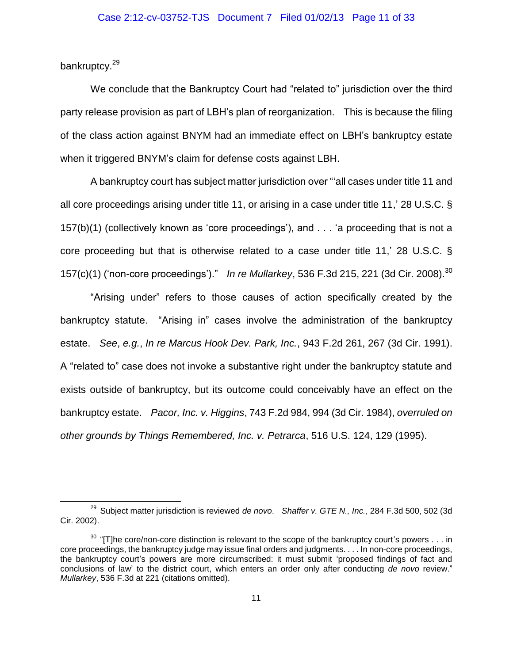bankruptcy.<sup>29</sup>

 $\overline{a}$ 

We conclude that the Bankruptcy Court had "related to" jurisdiction over the third party release provision as part of LBH's plan of reorganization. This is because the filing of the class action against BNYM had an immediate effect on LBH's bankruptcy estate when it triggered BNYM's claim for defense costs against LBH.

A bankruptcy court has subject matter jurisdiction over "'all cases under title 11 and all core proceedings arising under title 11, or arising in a case under title 11,' 28 U.S.C. § 157(b)(1) (collectively known as 'core proceedings'), and . . . 'a proceeding that is not a core proceeding but that is otherwise related to a case under title 11,' 28 U.S.C. § 157(c)(1) ('non-core proceedings')." *In re Mullarkey*, 536 F.3d 215, 221 (3d Cir. 2008). 30

"Arising under" refers to those causes of action specifically created by the bankruptcy statute. "Arising in" cases involve the administration of the bankruptcy estate. *See*, *e.g.*, *In re Marcus Hook Dev. Park, Inc.*, 943 F.2d 261, 267 (3d Cir. 1991). A "related to" case does not invoke a substantive right under the bankruptcy statute and exists outside of bankruptcy, but its outcome could conceivably have an effect on the bankruptcy estate. *Pacor, Inc. v. Higgins*, 743 F.2d 984, 994 (3d Cir. 1984), *overruled on other grounds by Things Remembered, Inc. v. Petrarca*, 516 U.S. 124, 129 (1995).

<sup>29</sup> Subject matter jurisdiction is reviewed *de novo*. *Shaffer v. GTE N., Inc.*, 284 F.3d 500, 502 (3d Cir. 2002).

 $30$  "[T]he core/non-core distinction is relevant to the scope of the bankruptcy court's powers  $\dots$  in core proceedings, the bankruptcy judge may issue final orders and judgments. . . . In non-core proceedings, the bankruptcy court's powers are more circumscribed: it must submit 'proposed findings of fact and conclusions of law' to the district court, which enters an order only after conducting *de novo* review." *Mullarkey*, 536 F.3d at 221 (citations omitted).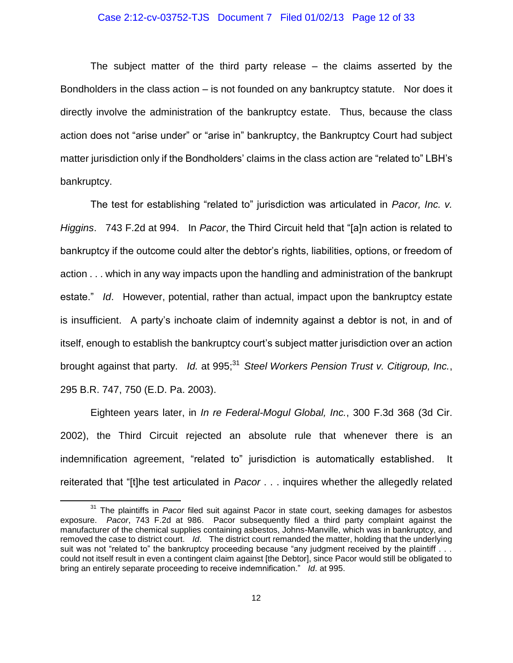#### Case 2:12-cv-03752-TJS Document 7 Filed 01/02/13 Page 12 of 33

The subject matter of the third party release – the claims asserted by the Bondholders in the class action – is not founded on any bankruptcy statute. Nor does it directly involve the administration of the bankruptcy estate. Thus, because the class action does not "arise under" or "arise in" bankruptcy, the Bankruptcy Court had subject matter jurisdiction only if the Bondholders' claims in the class action are "related to" LBH's bankruptcy.

The test for establishing "related to" jurisdiction was articulated in *Pacor, Inc. v. Higgins*. 743 F.2d at 994. In *Pacor*, the Third Circuit held that "[a]n action is related to bankruptcy if the outcome could alter the debtor's rights, liabilities, options, or freedom of action . . . which in any way impacts upon the handling and administration of the bankrupt estate." *Id*. However, potential, rather than actual, impact upon the bankruptcy estate is insufficient. A party's inchoate claim of indemnity against a debtor is not, in and of itself, enough to establish the bankruptcy court's subject matter jurisdiction over an action brought against that party. *Id.* at 995;<sup>31</sup> *Steel Workers Pension Trust v. Citigroup, Inc.*, 295 B.R. 747, 750 (E.D. Pa. 2003).

Eighteen years later, in *In re Federal-Mogul Global, Inc.*, 300 F.3d 368 (3d Cir. 2002), the Third Circuit rejected an absolute rule that whenever there is an indemnification agreement, "related to" jurisdiction is automatically established. It reiterated that "[t]he test articulated in *Pacor* . . . inquires whether the allegedly related

<sup>&</sup>lt;sup>31</sup> The plaintiffs in *Pacor* filed suit against Pacor in state court, seeking damages for asbestos exposure. *Pacor*, 743 F.2d at 986. Pacor subsequently filed a third party complaint against the manufacturer of the chemical supplies containing asbestos, Johns-Manville, which was in bankruptcy, and removed the case to district court. *Id*. The district court remanded the matter, holding that the underlying suit was not "related to" the bankruptcy proceeding because "any judgment received by the plaintiff... could not itself result in even a contingent claim against [the Debtor], since Pacor would still be obligated to bring an entirely separate proceeding to receive indemnification." *Id*. at 995.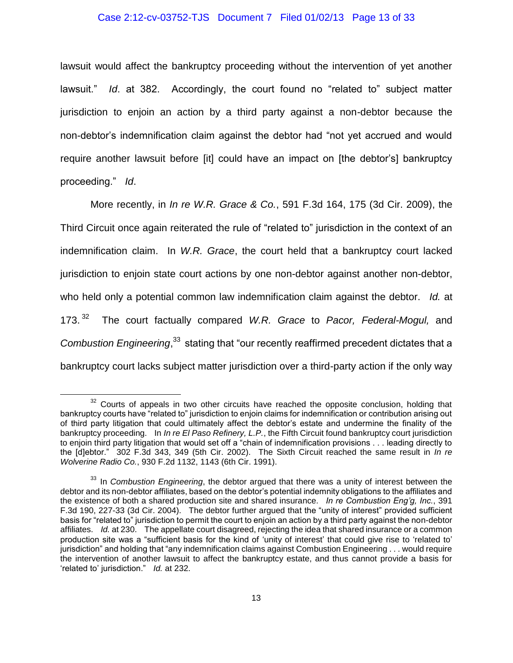#### Case 2:12-cv-03752-TJS Document 7 Filed 01/02/13 Page 13 of 33

lawsuit would affect the bankruptcy proceeding without the intervention of yet another lawsuit." *Id*. at 382. Accordingly, the court found no "related to" subject matter jurisdiction to enjoin an action by a third party against a non-debtor because the non-debtor's indemnification claim against the debtor had "not yet accrued and would require another lawsuit before [it] could have an impact on [the debtor's] bankruptcy proceeding." *Id*.

More recently, in *In re W.R. Grace & Co.*, 591 F.3d 164, 175 (3d Cir. 2009), the Third Circuit once again reiterated the rule of "related to" jurisdiction in the context of an indemnification claim. In *W.R. Grace*, the court held that a bankruptcy court lacked jurisdiction to enjoin state court actions by one non-debtor against another non-debtor, who held only a potential common law indemnification claim against the debtor. *Id.* at 173. $32$  The court factually compared *W.R. Grace* to *Pacor, Federal-Mogul,* and Combustion Engineering,<sup>33</sup> stating that "our recently reaffirmed precedent dictates that a bankruptcy court lacks subject matter jurisdiction over a third-party action if the only way

 $32$  Courts of appeals in two other circuits have reached the opposite conclusion, holding that bankruptcy courts have "related to" jurisdiction to enjoin claims for indemnification or contribution arising out of third party litigation that could ultimately affect the debtor's estate and undermine the finality of the bankruptcy proceeding. In *In re El Paso Refinery, L.P.*, the Fifth Circuit found bankruptcy court jurisdiction to enjoin third party litigation that would set off a "chain of indemnification provisions . . . leading directly to the [d]ebtor." 302 F.3d 343, 349 (5th Cir. 2002). The Sixth Circuit reached the same result in *In re Wolverine Radio Co.*, 930 F.2d 1132, 1143 (6th Cir. 1991).

<sup>&</sup>lt;sup>33</sup> In *Combustion Engineering*, the debtor argued that there was a unity of interest between the debtor and its non-debtor affiliates, based on the debtor's potential indemnity obligations to the affiliates and the existence of both a shared production site and shared insurance. *In re Combustion Eng'g, Inc.*, 391 F.3d 190, 227-33 (3d Cir. 2004). The debtor further argued that the "unity of interest" provided sufficient basis for "related to" jurisdiction to permit the court to enjoin an action by a third party against the non-debtor affiliates. *Id.* at 230. The appellate court disagreed, rejecting the idea that shared insurance or a common production site was a "sufficient basis for the kind of 'unity of interest' that could give rise to 'related to' jurisdiction" and holding that "any indemnification claims against Combustion Engineering . . . would require the intervention of another lawsuit to affect the bankruptcy estate, and thus cannot provide a basis for 'related to' jurisdiction." *Id.* at 232.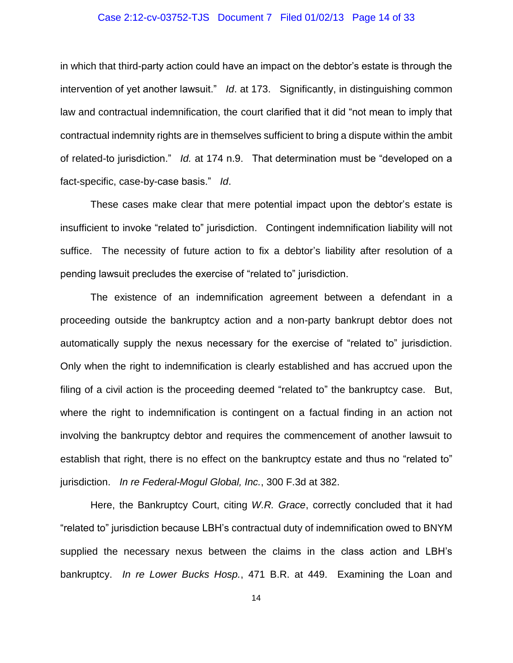#### Case 2:12-cv-03752-TJS Document 7 Filed 01/02/13 Page 14 of 33

in which that third-party action could have an impact on the debtor's estate is through the intervention of yet another lawsuit." *Id*. at 173. Significantly, in distinguishing common law and contractual indemnification, the court clarified that it did "not mean to imply that contractual indemnity rights are in themselves sufficient to bring a dispute within the ambit of related-to jurisdiction." *Id.* at 174 n.9. That determination must be "developed on a fact-specific, case-by-case basis." *Id*.

These cases make clear that mere potential impact upon the debtor's estate is insufficient to invoke "related to" jurisdiction. Contingent indemnification liability will not suffice. The necessity of future action to fix a debtor's liability after resolution of a pending lawsuit precludes the exercise of "related to" jurisdiction.

The existence of an indemnification agreement between a defendant in a proceeding outside the bankruptcy action and a non-party bankrupt debtor does not automatically supply the nexus necessary for the exercise of "related to" jurisdiction. Only when the right to indemnification is clearly established and has accrued upon the filing of a civil action is the proceeding deemed "related to" the bankruptcy case. But, where the right to indemnification is contingent on a factual finding in an action not involving the bankruptcy debtor and requires the commencement of another lawsuit to establish that right, there is no effect on the bankruptcy estate and thus no "related to" jurisdiction. *In re Federal-Mogul Global, Inc.*, 300 F.3d at 382.

Here, the Bankruptcy Court, citing *W.R. Grace*, correctly concluded that it had "related to" jurisdiction because LBH's contractual duty of indemnification owed to BNYM supplied the necessary nexus between the claims in the class action and LBH's bankruptcy. *In re Lower Bucks Hosp.*, 471 B.R. at 449. Examining the Loan and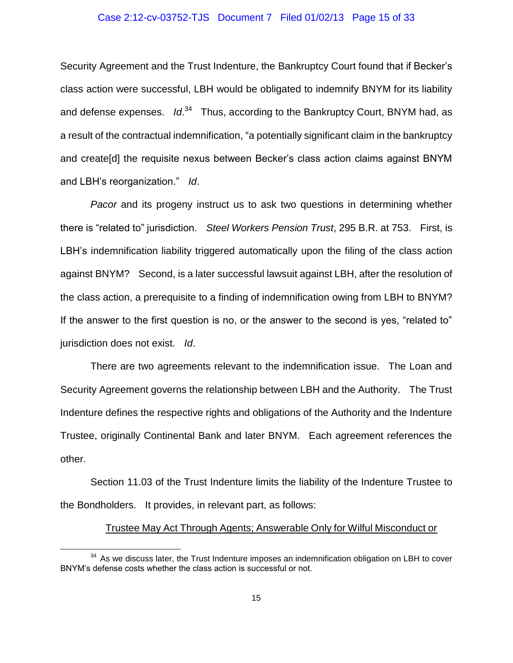#### Case 2:12-cv-03752-TJS Document 7 Filed 01/02/13 Page 15 of 33

Security Agreement and the Trust Indenture, the Bankruptcy Court found that if Becker's class action were successful, LBH would be obligated to indemnify BNYM for its liability and defense expenses. Id.<sup>34</sup> Thus, according to the Bankruptcy Court, BNYM had, as a result of the contractual indemnification, "a potentially significant claim in the bankruptcy and create[d] the requisite nexus between Becker's class action claims against BNYM and LBH's reorganization." *Id*.

*Pacor* and its progeny instruct us to ask two questions in determining whether there is "related to" jurisdiction. *Steel Workers Pension Trust*, 295 B.R. at 753. First, is LBH's indemnification liability triggered automatically upon the filing of the class action against BNYM? Second, is a later successful lawsuit against LBH, after the resolution of the class action, a prerequisite to a finding of indemnification owing from LBH to BNYM? If the answer to the first question is no, or the answer to the second is yes, "related to" jurisdiction does not exist. *Id*.

There are two agreements relevant to the indemnification issue. The Loan and Security Agreement governs the relationship between LBH and the Authority. The Trust Indenture defines the respective rights and obligations of the Authority and the Indenture Trustee, originally Continental Bank and later BNYM. Each agreement references the other.

Section 11.03 of the Trust Indenture limits the liability of the Indenture Trustee to the Bondholders. It provides, in relevant part, as follows:

#### Trustee May Act Through Agents; Answerable Only for Wilful Misconduct or

 $34$  As we discuss later, the Trust Indenture imposes an indemnification obligation on LBH to cover BNYM's defense costs whether the class action is successful or not.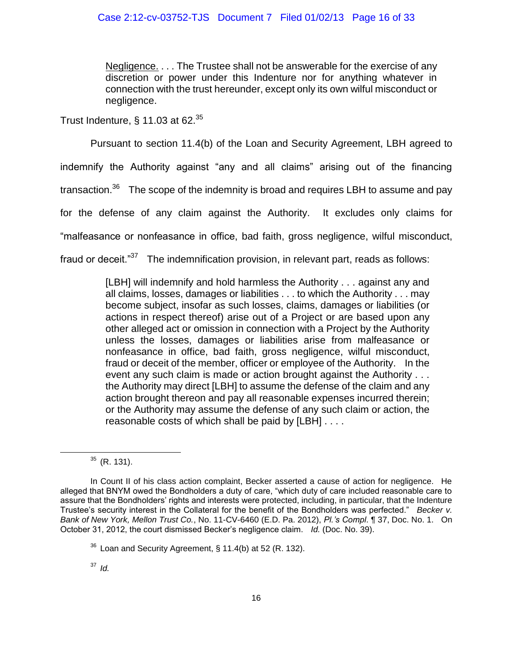## Case 2:12-cv-03752-TJS Document 7 Filed 01/02/13 Page 16 of 33

Negligence. . . . The Trustee shall not be answerable for the exercise of any discretion or power under this Indenture nor for anything whatever in connection with the trust hereunder, except only its own wilful misconduct or negligence.

Trust Indenture, § 11.03 at 62. $35$ 

Pursuant to section 11.4(b) of the Loan and Security Agreement, LBH agreed to

indemnify the Authority against "any and all claims" arising out of the financing

transaction. $^{36}$  The scope of the indemnity is broad and requires LBH to assume and pay

for the defense of any claim against the Authority. It excludes only claims for

"malfeasance or nonfeasance in office, bad faith, gross negligence, wilful misconduct,

fraud or deceit."<sup>37</sup> The indemnification provision, in relevant part, reads as follows:

[LBH] will indemnify and hold harmless the Authority . . . against any and all claims, losses, damages or liabilities . . . to which the Authority . . . may become subject, insofar as such losses, claims, damages or liabilities (or actions in respect thereof) arise out of a Project or are based upon any other alleged act or omission in connection with a Project by the Authority unless the losses, damages or liabilities arise from malfeasance or nonfeasance in office, bad faith, gross negligence, wilful misconduct, fraud or deceit of the member, officer or employee of the Authority. In the event any such claim is made or action brought against the Authority . . . the Authority may direct [LBH] to assume the defense of the claim and any action brought thereon and pay all reasonable expenses incurred therein; or the Authority may assume the defense of any such claim or action, the reasonable costs of which shall be paid by [LBH] . . . .

 $35$  (R. 131).

In Count II of his class action complaint, Becker asserted a cause of action for negligence. He alleged that BNYM owed the Bondholders a duty of care, "which duty of care included reasonable care to assure that the Bondholders' rights and interests were protected, including, in particular, that the Indenture Trustee's security interest in the Collateral for the benefit of the Bondholders was perfected." *Becker v. Bank of New York, Mellon Trust Co.*, No. 11-CV-6460 (E.D. Pa. 2012), *Pl.'s Compl*. ¶ 37, Doc. No. 1. On October 31, 2012, the court dismissed Becker's negligence claim. *Id.* (Doc. No. 39).

 $36$  Loan and Security Agreement, § 11.4(b) at 52 (R. 132).

<sup>37</sup> *Id.*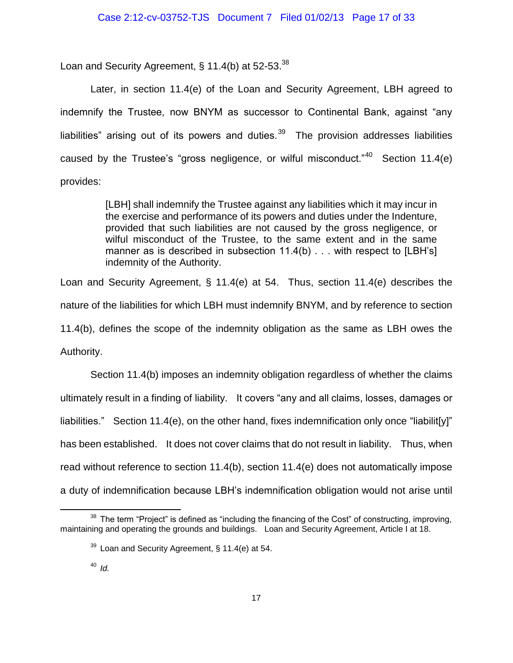Loan and Security Agreement, § 11.4(b) at 52-53. $^{38}$ 

Later, in section 11.4(e) of the Loan and Security Agreement, LBH agreed to indemnify the Trustee, now BNYM as successor to Continental Bank, against "any liabilities" arising out of its powers and duties. $39$  The provision addresses liabilities caused by the Trustee's "gross negligence, or wilful misconduct."<sup>40</sup> Section 11.4(e) provides:

> [LBH] shall indemnify the Trustee against any liabilities which it may incur in the exercise and performance of its powers and duties under the Indenture, provided that such liabilities are not caused by the gross negligence, or wilful misconduct of the Trustee, to the same extent and in the same manner as is described in subsection 11.4(b) . . . with respect to [LBH's] indemnity of the Authority.

Loan and Security Agreement, § 11.4(e) at 54. Thus, section 11.4(e) describes the nature of the liabilities for which LBH must indemnify BNYM, and by reference to section 11.4(b), defines the scope of the indemnity obligation as the same as LBH owes the Authority.

Section 11.4(b) imposes an indemnity obligation regardless of whether the claims ultimately result in a finding of liability. It covers "any and all claims, losses, damages or liabilities." Section 11.4(e), on the other hand, fixes indemnification only once "liabilit[y]" has been established. It does not cover claims that do not result in liability. Thus, when read without reference to section 11.4(b), section 11.4(e) does not automatically impose a duty of indemnification because LBH's indemnification obligation would not arise until

 $38$  The term "Project" is defined as "including the financing of the Cost" of constructing, improving, maintaining and operating the grounds and buildings. Loan and Security Agreement, Article I at 18.

 $39$  Loan and Security Agreement, § 11.4(e) at 54.

<sup>40</sup> *Id.*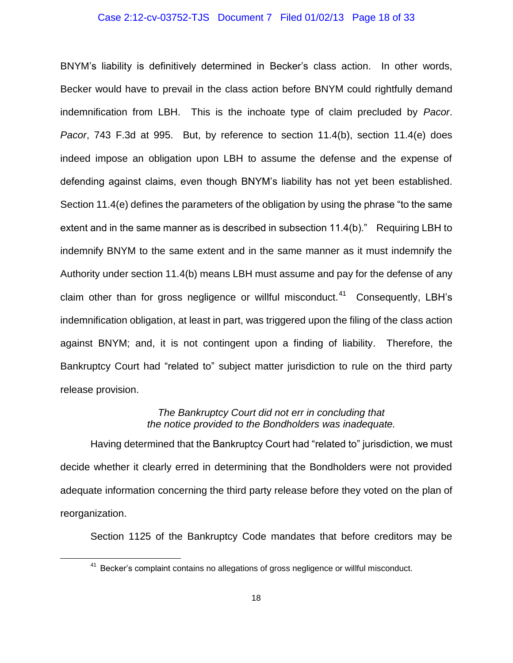#### Case 2:12-cv-03752-TJS Document 7 Filed 01/02/13 Page 18 of 33

BNYM's liability is definitively determined in Becker's class action. In other words, Becker would have to prevail in the class action before BNYM could rightfully demand indemnification from LBH. This is the inchoate type of claim precluded by *Pacor*. *Pacor*, 743 F.3d at 995. But, by reference to section 11.4(b), section 11.4(e) does indeed impose an obligation upon LBH to assume the defense and the expense of defending against claims, even though BNYM's liability has not yet been established. Section 11.4(e) defines the parameters of the obligation by using the phrase "to the same extent and in the same manner as is described in subsection 11.4(b)." Requiring LBH to indemnify BNYM to the same extent and in the same manner as it must indemnify the Authority under section 11.4(b) means LBH must assume and pay for the defense of any claim other than for gross negligence or willful misconduct.<sup>41</sup> Consequently, LBH's indemnification obligation, at least in part, was triggered upon the filing of the class action against BNYM; and, it is not contingent upon a finding of liability. Therefore, the Bankruptcy Court had "related to" subject matter jurisdiction to rule on the third party release provision.

## *The Bankruptcy Court did not err in concluding that the notice provided to the Bondholders was inadequate.*

Having determined that the Bankruptcy Court had "related to" jurisdiction, we must decide whether it clearly erred in determining that the Bondholders were not provided adequate information concerning the third party release before they voted on the plan of reorganization.

Section 1125 of the Bankruptcy Code mandates that before creditors may be

<sup>&</sup>lt;sup>41</sup> Becker's complaint contains no allegations of gross negligence or willful misconduct.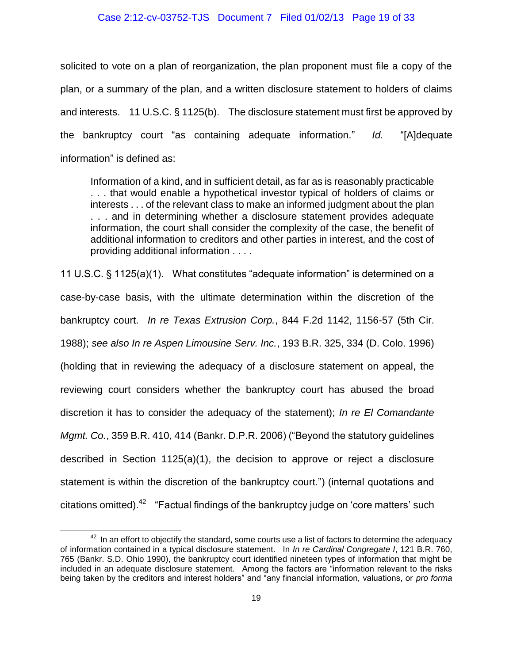### Case 2:12-cv-03752-TJS Document 7 Filed 01/02/13 Page 19 of 33

solicited to vote on a plan of reorganization, the plan proponent must file a copy of the plan, or a summary of the plan, and a written disclosure statement to holders of claims and interests. 11 U.S.C. § 1125(b). The disclosure statement must first be approved by the bankruptcy court "as containing adequate information." *Id.* "[A]dequate information" is defined as:

Information of a kind, and in sufficient detail, as far as is reasonably practicable . . . that would enable a hypothetical investor typical of holders of claims or interests . . . of the relevant class to make an informed judgment about the plan . . . and in determining whether a disclosure statement provides adequate information, the court shall consider the complexity of the case, the benefit of additional information to creditors and other parties in interest, and the cost of providing additional information . . . .

11 U.S.C. § 1125(a)(1). What constitutes "adequate information" is determined on a case-by-case basis, with the ultimate determination within the discretion of the bankruptcy court. *In re Texas Extrusion Corp.*, 844 F.2d 1142, 1156-57 (5th Cir. 1988); *see also In re Aspen Limousine Serv. Inc.*, 193 B.R. 325, 334 (D. Colo. 1996) (holding that in reviewing the adequacy of a disclosure statement on appeal, the reviewing court considers whether the bankruptcy court has abused the broad discretion it has to consider the adequacy of the statement); *In re El Comandante Mgmt. Co.*, 359 B.R. 410, 414 (Bankr. D.P.R. 2006) ("Beyond the statutory guidelines described in Section 1125(a)(1), the decision to approve or reject a disclosure statement is within the discretion of the bankruptcy court.") (internal quotations and citations omitted).<sup>42</sup> "Factual findings of the bankruptcy judge on 'core matters' such

 $42$  In an effort to obiectify the standard, some courts use a list of factors to determine the adequacy of information contained in a typical disclosure statement. In *In re Cardinal Congregate I*, 121 B.R. 760, 765 (Bankr. S.D. Ohio 1990), the bankruptcy court identified nineteen types of information that might be included in an adequate disclosure statement. Among the factors are "information relevant to the risks being taken by the creditors and interest holders" and "any financial information, valuations, or *pro forma*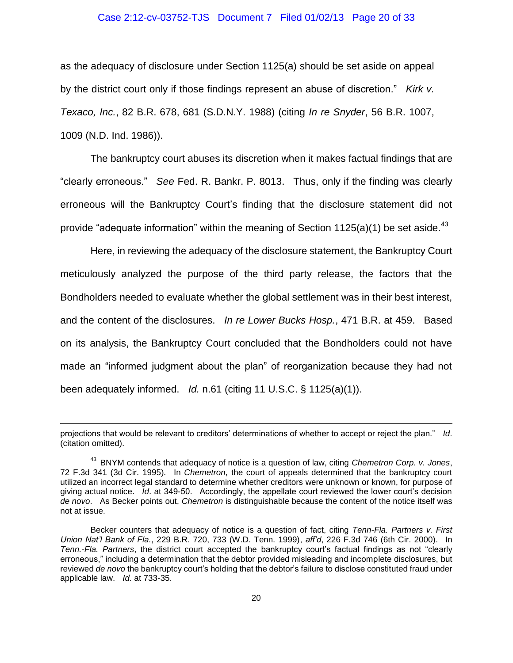#### Case 2:12-cv-03752-TJS Document 7 Filed 01/02/13 Page 20 of 33

as the adequacy of disclosure under Section 1125(a) should be set aside on appeal by the district court only if those findings represent an abuse of discretion." *Kirk v. Texaco, Inc.*, 82 B.R. 678, 681 (S.D.N.Y. 1988) (citing *In re Snyder*, 56 B.R. 1007, 1009 (N.D. Ind. 1986)).

The bankruptcy court abuses its discretion when it makes factual findings that are "clearly erroneous." *See* Fed. R. Bankr. P. 8013. Thus, only if the finding was clearly erroneous will the Bankruptcy Court's finding that the disclosure statement did not provide "adequate information" within the meaning of Section 1125(a)(1) be set aside.<sup>43</sup>

Here, in reviewing the adequacy of the disclosure statement, the Bankruptcy Court meticulously analyzed the purpose of the third party release, the factors that the Bondholders needed to evaluate whether the global settlement was in their best interest, and the content of the disclosures. *In re Lower Bucks Hosp.*, 471 B.R. at 459. Based on its analysis, the Bankruptcy Court concluded that the Bondholders could not have made an "informed judgment about the plan" of reorganization because they had not been adequately informed. *Id.* n.61 (citing 11 U.S.C. § 1125(a)(1)).

projections that would be relevant to creditors' determinations of whether to accept or reject the plan." *Id*. (citation omitted).

<sup>43</sup> BNYM contends that adequacy of notice is a question of law, citing *Chemetron Corp. v. Jones*, 72 F.3d 341 (3d Cir. 1995)*.* In *Chemetron*, the court of appeals determined that the bankruptcy court utilized an incorrect legal standard to determine whether creditors were unknown or known, for purpose of giving actual notice. *Id*. at 349-50. Accordingly, the appellate court reviewed the lower court's decision *de novo*. As Becker points out, *Chemetron* is distinguishable because the content of the notice itself was not at issue.

Becker counters that adequacy of notice is a question of fact, citing *Tenn-Fla. Partners v. First Union Nat'l Bank of Fla.*, 229 B.R. 720, 733 (W.D. Tenn. 1999), *aff'd*, 226 F.3d 746 (6th Cir. 2000). In *Tenn.-Fla. Partners*, the district court accepted the bankruptcy court's factual findings as not "clearly erroneous," including a determination that the debtor provided misleading and incomplete disclosures, but reviewed *de novo* the bankruptcy court's holding that the debtor's failure to disclose constituted fraud under applicable law. *Id.* at 733-35.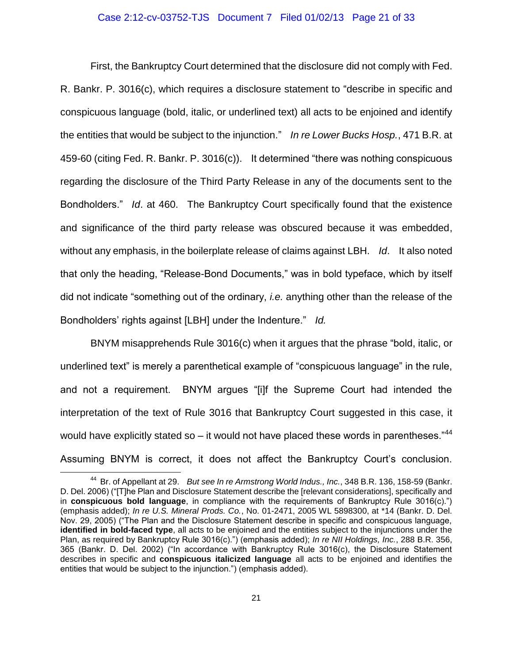#### Case 2:12-cv-03752-TJS Document 7 Filed 01/02/13 Page 21 of 33

First, the Bankruptcy Court determined that the disclosure did not comply with Fed. R. Bankr. P. 3016(c), which requires a disclosure statement to "describe in specific and conspicuous language (bold, italic, or underlined text) all acts to be enjoined and identify the entities that would be subject to the injunction." *In re Lower Bucks Hosp.*, 471 B.R. at 459-60 (citing Fed. R. Bankr. P. 3016(c)). It determined "there was nothing conspicuous regarding the disclosure of the Third Party Release in any of the documents sent to the Bondholders." *Id*. at 460. The Bankruptcy Court specifically found that the existence and significance of the third party release was obscured because it was embedded, without any emphasis, in the boilerplate release of claims against LBH. *Id*. It also noted that only the heading, "Release-Bond Documents," was in bold typeface, which by itself did not indicate "something out of the ordinary, *i.e.* anything other than the release of the Bondholders' rights against [LBH] under the Indenture." *Id.* 

BNYM misapprehends Rule 3016(c) when it argues that the phrase "bold, italic, or underlined text" is merely a parenthetical example of "conspicuous language" in the rule, and not a requirement. BNYM argues "[i]f the Supreme Court had intended the interpretation of the text of Rule 3016 that Bankruptcy Court suggested in this case, it would have explicitly stated so – it would not have placed these words in parentheses." $44$ Assuming BNYM is correct, it does not affect the Bankruptcy Court's conclusion.

<sup>44</sup> Br. of Appellant at 29. *But see In re Armstrong World Indus., Inc.*, 348 B.R. 136, 158-59 (Bankr. D. Del. 2006) ("[T]he Plan and Disclosure Statement describe the [relevant considerations], specifically and in **conspicuous bold language**, in compliance with the requirements of Bankruptcy Rule 3016(c).") (emphasis added); *In re U.S. Mineral Prods. Co.*, No. 01-2471, 2005 WL 5898300, at \*14 (Bankr. D. Del. Nov. 29, 2005) ("The Plan and the Disclosure Statement describe in specific and conspicuous language, **identified in bold-faced type**, all acts to be enjoined and the entities subject to the injunctions under the Plan, as required by Bankruptcy Rule 3016(c).") (emphasis added); *In re NII Holdings, Inc.*, 288 B.R. 356, 365 (Bankr. D. Del. 2002) ("In accordance with Bankruptcy Rule 3016(c), the Disclosure Statement describes in specific and **conspicuous italicized language** all acts to be enjoined and identifies the entities that would be subject to the injunction.") (emphasis added).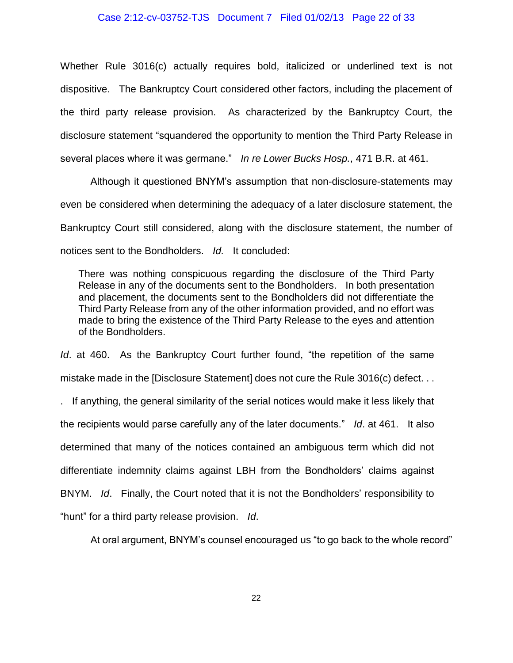#### Case 2:12-cv-03752-TJS Document 7 Filed 01/02/13 Page 22 of 33

Whether Rule 3016(c) actually requires bold, italicized or underlined text is not dispositive. The Bankruptcy Court considered other factors, including the placement of the third party release provision. As characterized by the Bankruptcy Court, the disclosure statement "squandered the opportunity to mention the Third Party Release in several places where it was germane." *In re Lower Bucks Hosp.*, 471 B.R. at 461.

Although it questioned BNYM's assumption that non-disclosure-statements may even be considered when determining the adequacy of a later disclosure statement, the Bankruptcy Court still considered, along with the disclosure statement, the number of notices sent to the Bondholders. *Id.* It concluded:

There was nothing conspicuous regarding the disclosure of the Third Party Release in any of the documents sent to the Bondholders. In both presentation and placement, the documents sent to the Bondholders did not differentiate the Third Party Release from any of the other information provided, and no effort was made to bring the existence of the Third Party Release to the eyes and attention of the Bondholders.

*Id.* at 460. As the Bankruptcy Court further found, "the repetition of the same mistake made in the [Disclosure Statement] does not cure the Rule 3016(c) defect. . .

. If anything, the general similarity of the serial notices would make it less likely that the recipients would parse carefully any of the later documents." *Id*. at 461. It also determined that many of the notices contained an ambiguous term which did not differentiate indemnity claims against LBH from the Bondholders' claims against BNYM. *Id*. Finally, the Court noted that it is not the Bondholders' responsibility to "hunt" for a third party release provision. *Id*.

At oral argument, BNYM's counsel encouraged us "to go back to the whole record"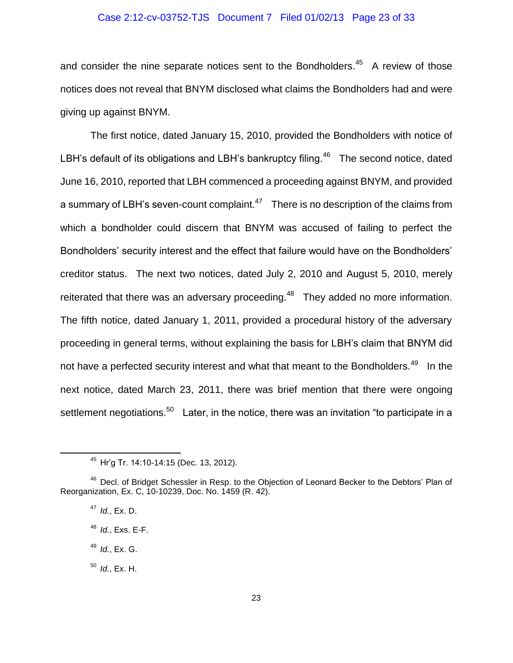#### Case 2:12-cv-03752-TJS Document 7 Filed 01/02/13 Page 23 of 33

and consider the nine separate notices sent to the Bondholders. $45$  A review of those notices does not reveal that BNYM disclosed what claims the Bondholders had and were giving up against BNYM.

The first notice, dated January 15, 2010, provided the Bondholders with notice of LBH's default of its obligations and LBH's bankruptcy filing. $46$  The second notice, dated June 16, 2010, reported that LBH commenced a proceeding against BNYM, and provided a summary of LBH's seven-count complaint. $1/47$  There is no description of the claims from which a bondholder could discern that BNYM was accused of failing to perfect the Bondholders' security interest and the effect that failure would have on the Bondholders' creditor status. The next two notices, dated July 2, 2010 and August 5, 2010, merely reiterated that there was an adversary proceeding. $48$  They added no more information. The fifth notice, dated January 1, 2011, provided a procedural history of the adversary proceeding in general terms, without explaining the basis for LBH's claim that BNYM did not have a perfected security interest and what that meant to the Bondholders.<sup>49</sup> In the next notice, dated March 23, 2011, there was brief mention that there were ongoing settlement negotiations.<sup>50</sup> Later, in the notice, there was an invitation "to participate in a

<sup>45</sup> Hr'g Tr. 14:10-14:15 (Dec. 13, 2012).

<sup>&</sup>lt;sup>46</sup> Decl. of Bridget Schessler in Resp. to the Objection of Leonard Becker to the Debtors' Plan of Reorganization, Ex. C, 10-10239, Doc. No. 1459 (R. 42).

<sup>47</sup> *Id.*, Ex. D.

<sup>48</sup> *Id.*, Exs. E-F.

<sup>49</sup> *Id.*, Ex. G.

<sup>50</sup> *Id.*, Ex. H.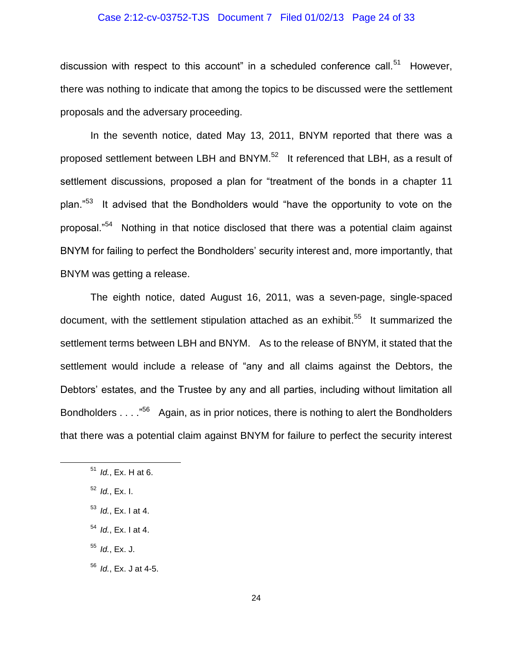# Case 2:12-cv-03752-TJS Document 7 Filed 01/02/13 Page 24 of 33

discussion with respect to this account" in a scheduled conference call.<sup>51</sup> However, there was nothing to indicate that among the topics to be discussed were the settlement proposals and the adversary proceeding.

In the seventh notice, dated May 13, 2011, BNYM reported that there was a proposed settlement between LBH and BNYM.<sup>52</sup> It referenced that LBH, as a result of settlement discussions, proposed a plan for "treatment of the bonds in a chapter 11 plan."<sup>53</sup> It advised that the Bondholders would "have the opportunity to vote on the proposal."<sup>54</sup> Nothing in that notice disclosed that there was a potential claim against BNYM for failing to perfect the Bondholders' security interest and, more importantly, that BNYM was getting a release.

The eighth notice, dated August 16, 2011, was a seven-page, single-spaced document, with the settlement stipulation attached as an exhibit.<sup>55</sup> It summarized the settlement terms between LBH and BNYM. As to the release of BNYM, it stated that the settlement would include a release of "any and all claims against the Debtors, the Debtors' estates, and the Trustee by any and all parties, including without limitation all Bondholders . . . .<sup>"56</sup> Again, as in prior notices, there is nothing to alert the Bondholders that there was a potential claim against BNYM for failure to perfect the security interest

 $\overline{a}$ 

<sup>55</sup> *Id.*, Ex. J.

<sup>56</sup> *Id.*, Ex. J at 4-5.

<sup>51</sup> *Id.*, Ex. H at 6.

<sup>52</sup> *Id.*, Ex. I.

<sup>53</sup> *Id.*, Ex. I at 4.

<sup>54</sup> *Id.*, Ex. I at 4.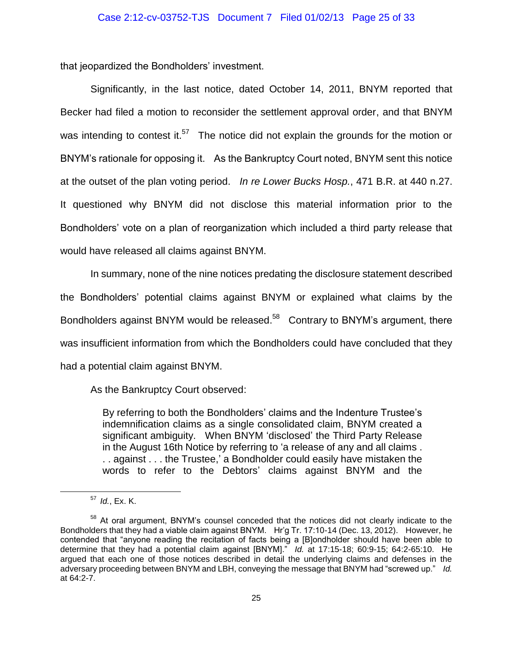that jeopardized the Bondholders' investment.

Significantly, in the last notice, dated October 14, 2011, BNYM reported that Becker had filed a motion to reconsider the settlement approval order, and that BNYM was intending to contest it.<sup>57</sup> The notice did not explain the grounds for the motion or BNYM's rationale for opposing it. As the Bankruptcy Court noted, BNYM sent this notice at the outset of the plan voting period. *In re Lower Bucks Hosp.*, 471 B.R. at 440 n.27. It questioned why BNYM did not disclose this material information prior to the Bondholders' vote on a plan of reorganization which included a third party release that would have released all claims against BNYM.

In summary, none of the nine notices predating the disclosure statement described the Bondholders' potential claims against BNYM or explained what claims by the Bondholders against BNYM would be released.<sup>58</sup> Contrary to BNYM's argument, there was insufficient information from which the Bondholders could have concluded that they had a potential claim against BNYM.

As the Bankruptcy Court observed:

By referring to both the Bondholders' claims and the Indenture Trustee's indemnification claims as a single consolidated claim, BNYM created a significant ambiguity. When BNYM 'disclosed' the Third Party Release in the August 16th Notice by referring to 'a release of any and all claims . . . against . . . the Trustee,' a Bondholder could easily have mistaken the words to refer to the Debtors' claims against BNYM and the

<sup>57</sup> *Id.*, Ex. K.

<sup>&</sup>lt;sup>58</sup> At oral argument, BNYM's counsel conceded that the notices did not clearly indicate to the Bondholders that they had a viable claim against BNYM. Hr'g Tr. 17:10-14 (Dec. 13, 2012). However, he contended that "anyone reading the recitation of facts being a [B]ondholder should have been able to determine that they had a potential claim against [BNYM]." *Id.* at 17:15-18; 60:9-15; 64:2-65:10. He argued that each one of those notices described in detail the underlying claims and defenses in the adversary proceeding between BNYM and LBH, conveying the message that BNYM had "screwed up." *Id.* at 64:2-7.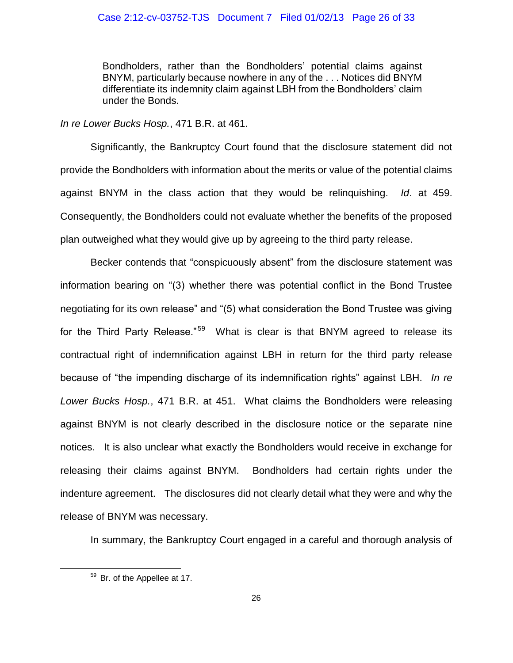## Case 2:12-cv-03752-TJS Document 7 Filed 01/02/13 Page 26 of 33

Bondholders, rather than the Bondholders' potential claims against BNYM, particularly because nowhere in any of the . . . Notices did BNYM differentiate its indemnity claim against LBH from the Bondholders' claim under the Bonds.

*In re Lower Bucks Hosp.*, 471 B.R. at 461.

Significantly, the Bankruptcy Court found that the disclosure statement did not provide the Bondholders with information about the merits or value of the potential claims against BNYM in the class action that they would be relinquishing. *Id*. at 459. Consequently, the Bondholders could not evaluate whether the benefits of the proposed plan outweighed what they would give up by agreeing to the third party release.

Becker contends that "conspicuously absent" from the disclosure statement was information bearing on "(3) whether there was potential conflict in the Bond Trustee negotiating for its own release" and "(5) what consideration the Bond Trustee was giving for the Third Party Release."<sup>59</sup> What is clear is that BNYM agreed to release its contractual right of indemnification against LBH in return for the third party release because of "the impending discharge of its indemnification rights" against LBH. *In re Lower Bucks Hosp.*, 471 B.R. at 451. What claims the Bondholders were releasing against BNYM is not clearly described in the disclosure notice or the separate nine notices. It is also unclear what exactly the Bondholders would receive in exchange for releasing their claims against BNYM. Bondholders had certain rights under the indenture agreement. The disclosures did not clearly detail what they were and why the release of BNYM was necessary.

In summary, the Bankruptcy Court engaged in a careful and thorough analysis of

<sup>59</sup> Br. of the Appellee at 17.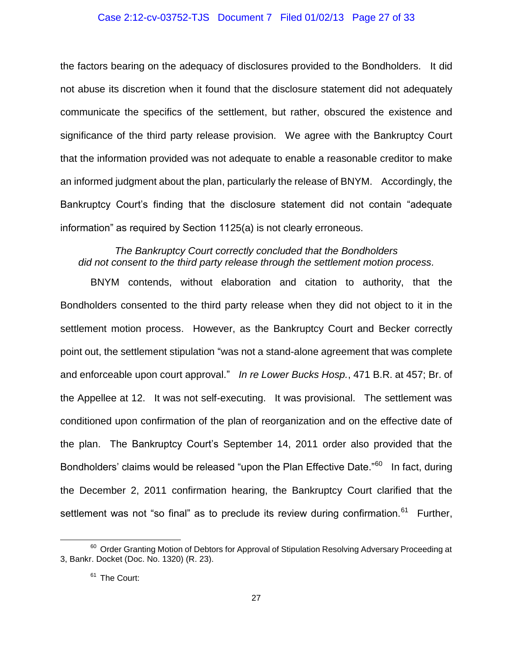#### Case 2:12-cv-03752-TJS Document 7 Filed 01/02/13 Page 27 of 33

the factors bearing on the adequacy of disclosures provided to the Bondholders. It did not abuse its discretion when it found that the disclosure statement did not adequately communicate the specifics of the settlement, but rather, obscured the existence and significance of the third party release provision. We agree with the Bankruptcy Court that the information provided was not adequate to enable a reasonable creditor to make an informed judgment about the plan, particularly the release of BNYM. Accordingly, the Bankruptcy Court's finding that the disclosure statement did not contain "adequate information" as required by Section 1125(a) is not clearly erroneous.

# *The Bankruptcy Court correctly concluded that the Bondholders did not consent to the third party release through the settlement motion process.*

BNYM contends, without elaboration and citation to authority, that the Bondholders consented to the third party release when they did not object to it in the settlement motion process. However, as the Bankruptcy Court and Becker correctly point out, the settlement stipulation "was not a stand-alone agreement that was complete and enforceable upon court approval." *In re Lower Bucks Hosp.*, 471 B.R. at 457; Br. of the Appellee at 12. It was not self-executing. It was provisional. The settlement was conditioned upon confirmation of the plan of reorganization and on the effective date of the plan. The Bankruptcy Court's September 14, 2011 order also provided that the Bondholders' claims would be released "upon the Plan Effective Date."<sup>60</sup> In fact, during the December 2, 2011 confirmation hearing, the Bankruptcy Court clarified that the settlement was not "so final" as to preclude its review during confirmation.<sup>61</sup> Further,

<sup>&</sup>lt;sup>60</sup> Order Granting Motion of Debtors for Approval of Stipulation Resolving Adversary Proceeding at 3, Bankr. Docket (Doc. No. 1320) (R. 23).

<sup>&</sup>lt;sup>61</sup> The Court: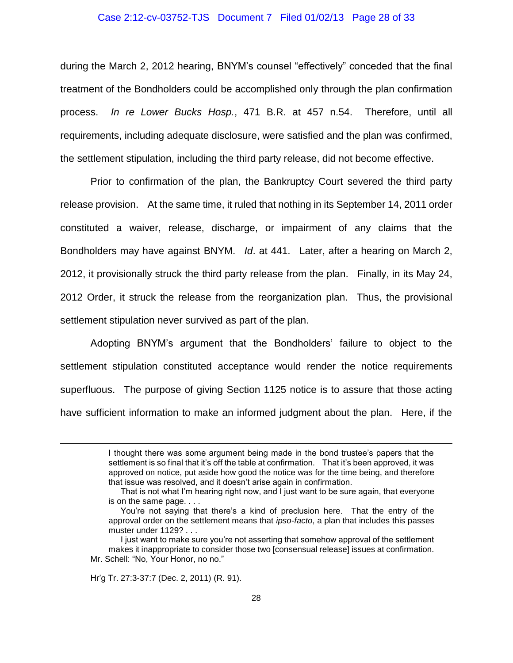#### Case 2:12-cv-03752-TJS Document 7 Filed 01/02/13 Page 28 of 33

during the March 2, 2012 hearing, BNYM's counsel "effectively" conceded that the final treatment of the Bondholders could be accomplished only through the plan confirmation process. *In re Lower Bucks Hosp.*, 471 B.R. at 457 n.54. Therefore, until all requirements, including adequate disclosure, were satisfied and the plan was confirmed, the settlement stipulation, including the third party release, did not become effective.

Prior to confirmation of the plan, the Bankruptcy Court severed the third party release provision. At the same time, it ruled that nothing in its September 14, 2011 order constituted a waiver, release, discharge, or impairment of any claims that the Bondholders may have against BNYM. *Id*. at 441. Later, after a hearing on March 2, 2012, it provisionally struck the third party release from the plan. Finally, in its May 24, 2012 Order, it struck the release from the reorganization plan. Thus, the provisional settlement stipulation never survived as part of the plan.

Adopting BNYM's argument that the Bondholders' failure to object to the settlement stipulation constituted acceptance would render the notice requirements superfluous. The purpose of giving Section 1125 notice is to assure that those acting have sufficient information to make an informed judgment about the plan. Here, if the

Hr'g Tr. 27:3-37:7 (Dec. 2, 2011) (R. 91).

I thought there was some argument being made in the bond trustee's papers that the settlement is so final that it's off the table at confirmation. That it's been approved, it was approved on notice, put aside how good the notice was for the time being, and therefore that issue was resolved, and it doesn't arise again in confirmation.

That is not what I'm hearing right now, and I just want to be sure again, that everyone is on the same page. . . .

You're not saying that there's a kind of preclusion here. That the entry of the approval order on the settlement means that *ipso-facto*, a plan that includes this passes muster under 1129? . . .

I just want to make sure you're not asserting that somehow approval of the settlement makes it inappropriate to consider those two [consensual release] issues at confirmation. Mr. Schell: "No, Your Honor, no no."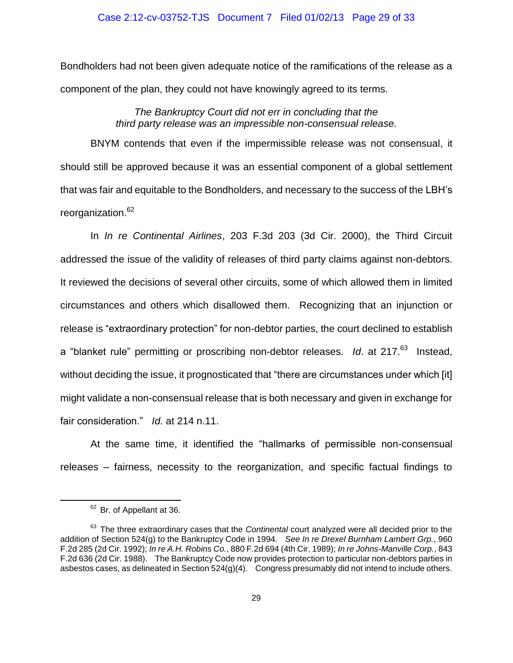## Case 2:12-cv-03752-TJS Document 7 Filed 01/02/13 Page 29 of 33

Bondholders had not been given adequate notice of the ramifications of the release as a component of the plan, they could not have knowingly agreed to its terms.

> *The Bankruptcy Court did not err in concluding that the third party release was an impressible non-consensual release.*

BNYM contends that even if the impermissible release was not consensual, it should still be approved because it was an essential component of a global settlement that was fair and equitable to the Bondholders, and necessary to the success of the LBH's reorganization.<sup>62</sup>

In *In re Continental Airlines*, 203 F.3d 203 (3d Cir. 2000), the Third Circuit addressed the issue of the validity of releases of third party claims against non-debtors. It reviewed the decisions of several other circuits, some of which allowed them in limited circumstances and others which disallowed them. Recognizing that an injunction or release is "extraordinary protection" for non-debtor parties, the court declined to establish a "blanket rule" permitting or proscribing non-debtor releases. Id. at 217.<sup>63</sup> Instead, without deciding the issue, it prognosticated that "there are circumstances under which [it] might validate a non-consensual release that is both necessary and given in exchange for fair consideration." *Id.* at 214 n.11.

At the same time, it identified the "hallmarks of permissible non-consensual releases – fairness, necessity to the reorganization, and specific factual findings to

<sup>&</sup>lt;sup>62</sup> Br. of Appellant at 36.

<sup>&</sup>lt;sup>63</sup> The three extraordinary cases that the *Continental* court analyzed were all decided prior to the addition of Section 524(g) to the Bankruptcy Code in 1994. *See In re Drexel Burnham Lambert Grp.*, 960 F.2d 285 (2d Cir. 1992); *In re A.H. Robins Co.*, 880 F.2d 694 (4th Cir. 1989); *In re Johns-Manville Corp.*, 843 F.2d 636 (2d Cir. 1988). The Bankruptcy Code now provides protection to particular non-debtors parties in asbestos cases, as delineated in Section 524(g)(4). Congress presumably did not intend to include others.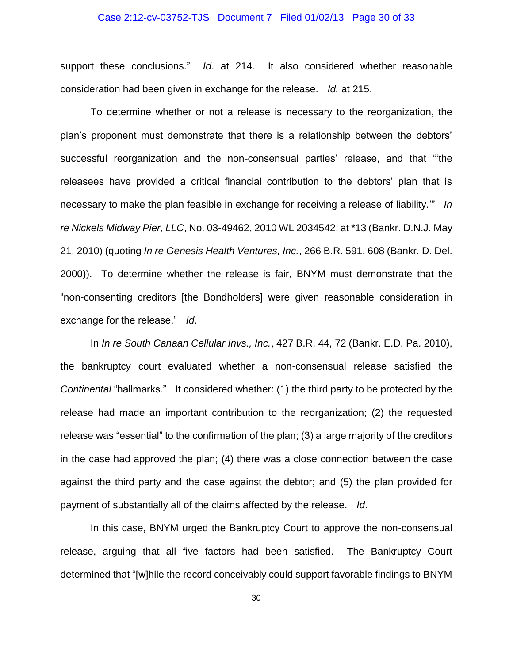#### Case 2:12-cv-03752-TJS Document 7 Filed 01/02/13 Page 30 of 33

support these conclusions." *Id*. at 214. It also considered whether reasonable consideration had been given in exchange for the release. *Id.* at 215.

To determine whether or not a release is necessary to the reorganization, the plan's proponent must demonstrate that there is a relationship between the debtors' successful reorganization and the non-consensual parties' release, and that "'the releasees have provided a critical financial contribution to the debtors' plan that is necessary to make the plan feasible in exchange for receiving a release of liability.'" *In re Nickels Midway Pier, LLC*, No. 03-49462, 2010 WL 2034542, at \*13 (Bankr. D.N.J. May 21, 2010) (quoting *In re Genesis Health Ventures, Inc.*, 266 B.R. 591, 608 (Bankr. D. Del. 2000)). To determine whether the release is fair, BNYM must demonstrate that the "non-consenting creditors [the Bondholders] were given reasonable consideration in exchange for the release." *Id*.

In *In re South Canaan Cellular Invs., Inc.*, 427 B.R. 44, 72 (Bankr. E.D. Pa. 2010), the bankruptcy court evaluated whether a non-consensual release satisfied the *Continental* "hallmarks." It considered whether: (1) the third party to be protected by the release had made an important contribution to the reorganization; (2) the requested release was "essential" to the confirmation of the plan; (3) a large majority of the creditors in the case had approved the plan; (4) there was a close connection between the case against the third party and the case against the debtor; and (5) the plan provided for payment of substantially all of the claims affected by the release. *Id*.

In this case, BNYM urged the Bankruptcy Court to approve the non-consensual release, arguing that all five factors had been satisfied. The Bankruptcy Court determined that "[w]hile the record conceivably could support favorable findings to BNYM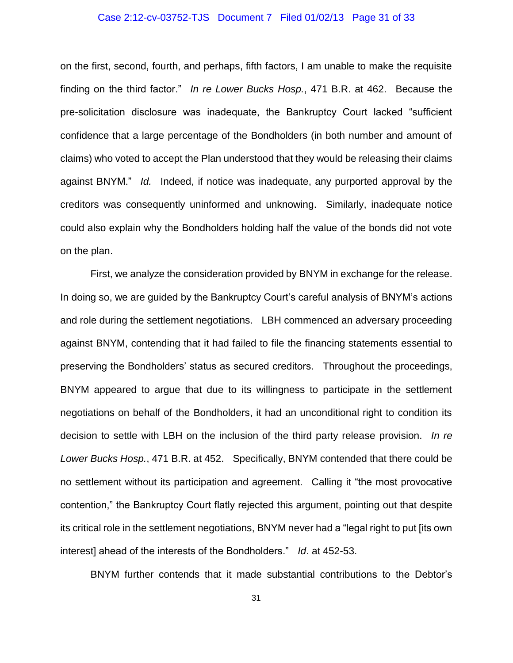#### Case 2:12-cv-03752-TJS Document 7 Filed 01/02/13 Page 31 of 33

on the first, second, fourth, and perhaps, fifth factors, I am unable to make the requisite finding on the third factor." *In re Lower Bucks Hosp.*, 471 B.R. at 462. Because the pre-solicitation disclosure was inadequate, the Bankruptcy Court lacked "sufficient confidence that a large percentage of the Bondholders (in both number and amount of claims) who voted to accept the Plan understood that they would be releasing their claims against BNYM." *Id.* Indeed, if notice was inadequate, any purported approval by the creditors was consequently uninformed and unknowing. Similarly, inadequate notice could also explain why the Bondholders holding half the value of the bonds did not vote on the plan.

First, we analyze the consideration provided by BNYM in exchange for the release. In doing so, we are guided by the Bankruptcy Court's careful analysis of BNYM's actions and role during the settlement negotiations. LBH commenced an adversary proceeding against BNYM, contending that it had failed to file the financing statements essential to preserving the Bondholders' status as secured creditors. Throughout the proceedings, BNYM appeared to argue that due to its willingness to participate in the settlement negotiations on behalf of the Bondholders, it had an unconditional right to condition its decision to settle with LBH on the inclusion of the third party release provision. *In re Lower Bucks Hosp.*, 471 B.R. at 452. Specifically, BNYM contended that there could be no settlement without its participation and agreement. Calling it "the most provocative contention," the Bankruptcy Court flatly rejected this argument, pointing out that despite its critical role in the settlement negotiations, BNYM never had a "legal right to put [its own interest] ahead of the interests of the Bondholders." *Id*. at 452-53.

BNYM further contends that it made substantial contributions to the Debtor's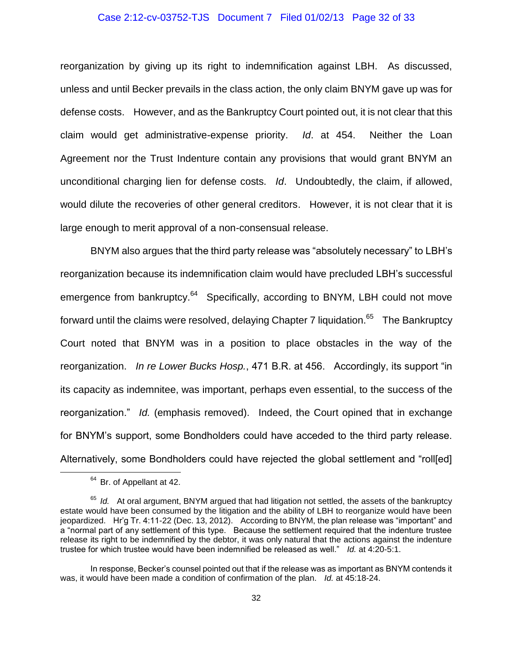#### Case 2:12-cv-03752-TJS Document 7 Filed 01/02/13 Page 32 of 33

reorganization by giving up its right to indemnification against LBH. As discussed, unless and until Becker prevails in the class action, the only claim BNYM gave up was for defense costs. However, and as the Bankruptcy Court pointed out, it is not clear that this claim would get administrative-expense priority. *Id*. at 454. Neither the Loan Agreement nor the Trust Indenture contain any provisions that would grant BNYM an unconditional charging lien for defense costs. *Id*. Undoubtedly, the claim, if allowed, would dilute the recoveries of other general creditors. However, it is not clear that it is large enough to merit approval of a non-consensual release.

BNYM also argues that the third party release was "absolutely necessary" to LBH's reorganization because its indemnification claim would have precluded LBH's successful emergence from bankruptcy.<sup>64</sup> Specifically, according to BNYM, LBH could not move forward until the claims were resolved, delaying Chapter 7 liquidation. $65$  The Bankruptcy Court noted that BNYM was in a position to place obstacles in the way of the reorganization. *In re Lower Bucks Hosp.*, 471 B.R. at 456. Accordingly, its support "in its capacity as indemnitee, was important, perhaps even essential, to the success of the reorganization." *Id.* (emphasis removed). Indeed, the Court opined that in exchange for BNYM's support, some Bondholders could have acceded to the third party release. Alternatively, some Bondholders could have rejected the global settlement and "roll[ed]

<sup>&</sup>lt;sup>64</sup> Br. of Appellant at 42.

<sup>&</sup>lt;sup>65</sup> *Id.* At oral argument, BNYM argued that had litigation not settled, the assets of the bankruptcy estate would have been consumed by the litigation and the ability of LBH to reorganize would have been jeopardized. Hr'g Tr. 4:11-22 (Dec. 13, 2012). According to BNYM, the plan release was "important" and a "normal part of any settlement of this type. Because the settlement required that the indenture trustee release its right to be indemnified by the debtor, it was only natural that the actions against the indenture trustee for which trustee would have been indemnified be released as well." *Id.* at 4:20-5:1.

In response, Becker's counsel pointed out that if the release was as important as BNYM contends it was, it would have been made a condition of confirmation of the plan. *Id.* at 45:18-24.